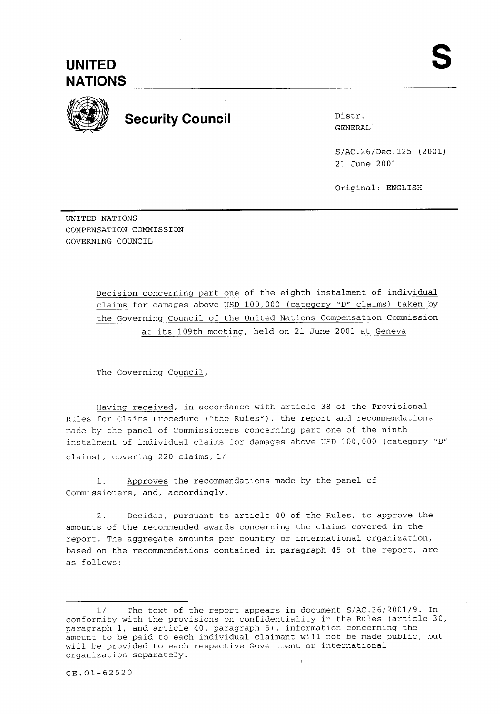

## **Security Council Manual Security Council Administration of District Operation**

GENERAL

S/AC.26/Dec.125 (2001) 21 June 2001

Original: ENGLISH

UNITED NATIONS COMPENSATION COMMISSION GOVERNING COUNCIL

> Decision concerning part one of the eighth instalment of individual claims for damages above USD 100,000 (category 'D" claims) taken by the Governing Council of the United Nations Compensation Commission at its 109th meeting, held on 21 June 2001 at Geneva

The Governing Council,

Having received, in accordance with article 38 of the Provisional Rules for Claims Procedure ("the Rules"), the report and recommendations made by the panel of Commissioners concerning part one of the ninth instalment of individual claims for damages above USD 100,000 (category "D" claims), covering 220 claims, L/

1. Approves the recommendations made by the panel of Commissioners, and, accordingly,

2. Decides, pursuant to article 40 of the Rules, to approve the amounts of the recommended awards concerning the claims covered in the report. The aggregate amounts per country or international organization, based on the recommendations contained in paragraph 45 of the report, are as follows:

<sup>1/</sup> The text of the report appears in document S/AC.26/2001/9. In conformity with the provisions on confidentiality in the Rules (article 30, paragraph 1, and article 40, paragraph 5), information concerning the amount to be paid to each individual claimant will not be made public, but will be provided to each respective Government or international organization separately. I